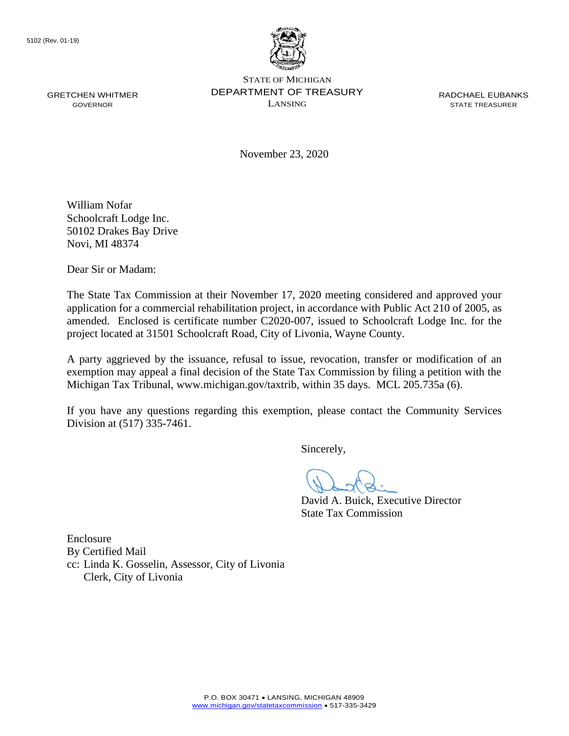

GRETCHEN WHITMER **DEPARTMENT OF TREASURY** RADCHAEL EUBANKS STATE OF MICHIGAN GOVERNOR LANSING STATE TREASURER

November 23, 2020

William Nofar Schoolcraft Lodge Inc. 50102 Drakes Bay Drive Novi, MI 48374

Dear Sir or Madam:

The State Tax Commission at their November 17, 2020 meeting considered and approved your application for a commercial rehabilitation project, in accordance with Public Act 210 of 2005, as amended. Enclosed is certificate number C2020-007, issued to Schoolcraft Lodge Inc. for the project located at 31501 Schoolcraft Road, City of Livonia, Wayne County.

 exemption may appeal a final decision of the State Tax Commission by filing a petition with the A party aggrieved by the issuance, refusal to issue, revocation, transfer or modification of an Michigan Tax Tribunal, <www.michigan.gov/taxtrib>, within 35 days. MCL 205.735a (6).

 If you have any questions regarding this exemption, please contact the Community Services Division at (517) 335-7461.

Sincerely,

David A. Buick, Executive Director State Tax Commission

Enclosure By Certified Mail cc: Linda K. Gosselin, Assessor, City of Livonia Clerk, City of Livonia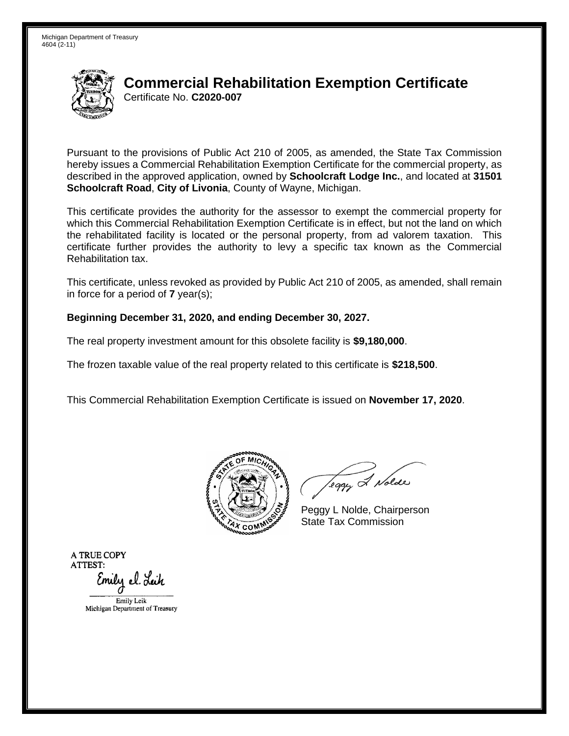

# Certificate No. **C2020-007 Commercial Rehabilitation Exemption Certificate**

 Pursuant to the provisions of Public Act 210 of 2005, as amended, the State Tax Commission hereby issues a Commercial Rehabilitation Exemption Certificate for the commercial property, as  described in the approved application, owned by **Schoolcraft Lodge Inc.**, and located at **31501 Schoolcraft Road**, **City of Livonia**, County of Wayne, Michigan.

 This certificate provides the authority for the assessor to exempt the commercial property for which this Commercial Rehabilitation Exemption Certificate is in effect, but not the land on which the rehabilitated facility is located or the personal property, from ad valorem taxation. This certificate further provides the authority to levy a specific tax known as the Commercial Rehabilitation tax.

This certificate, unless revoked as provided by Public Act 210 of 2005, as amended, shall remain in force for a period of **7** year(s);

### **Beginning December 31, 2020, and ending December 30, 2027.**

The real property investment amount for this obsolete facility is **\$9,180,000**.

The frozen taxable value of the real property related to this certificate is **\$218,500**.

This Commercial Rehabilitation Exemption Certificate is issued on **November 17, 2020**.



leggy & Nolde

Peggy L Nolde, Chairperson State Tax Commission

**ATRUECOPY ATTEST:**  Emily el. Leik EmilyLcik

Michigan Department of Treasury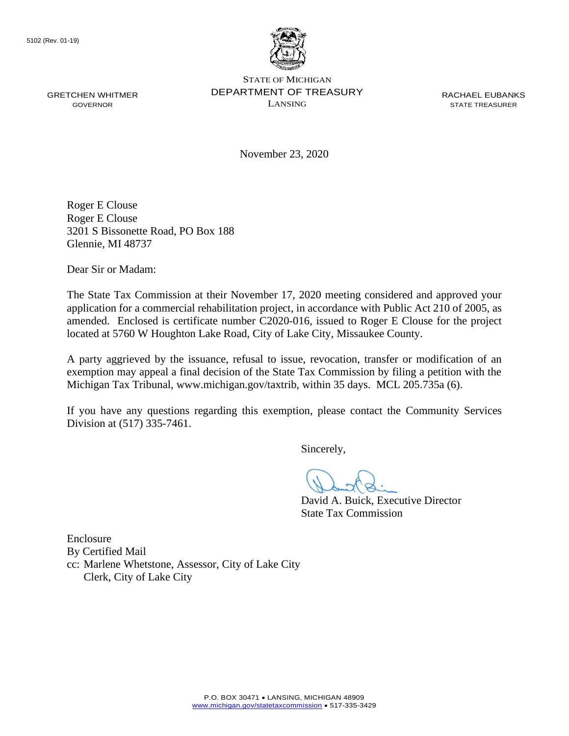

GRETCHEN WHITMER **DEPARTMENT OF TREASURY** RACHAEL EUBANKS STATE OF MICHIGAN  $\sum_{i=1}^{n}$  GOVERNOR

November 23, 2020

Roger E Clouse Roger E Clouse 3201 S Bissonette Road, PO Box 188 Glennie, MI 48737

Dear Sir or Madam:

The State Tax Commission at their November 17, 2020 meeting considered and approved your application for a commercial rehabilitation project, in accordance with Public Act 210 of 2005, as amended. Enclosed is certificate number C2020-016, issued to Roger E Clouse for the project located at 5760 W Houghton Lake Road, City of Lake City, Missaukee County.

 exemption may appeal a final decision of the State Tax Commission by filing a petition with the A party aggrieved by the issuance, refusal to issue, revocation, transfer or modification of an Michigan Tax Tribunal, <www.michigan.gov/taxtrib>, within 35 days. MCL 205.735a (6).

 If you have any questions regarding this exemption, please contact the Community Services Division at (517) 335-7461.

Sincerely,

David A. Buick, Executive Director State Tax Commission

Enclosure By Certified Mail cc: Marlene Whetstone, Assessor, City of Lake City Clerk, City of Lake City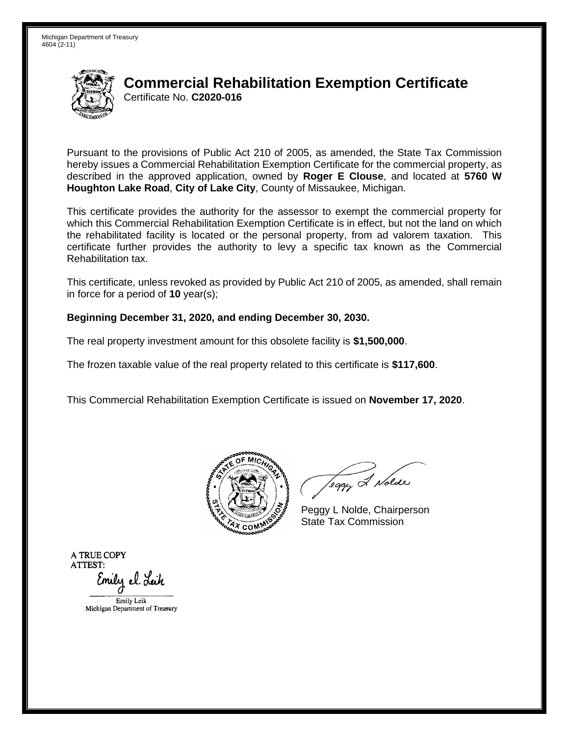

# Certificate No. **C2020-016 Commercial Rehabilitation Exemption Certificate**

 Pursuant to the provisions of Public Act 210 of 2005, as amended, the State Tax Commission hereby issues a Commercial Rehabilitation Exemption Certificate for the commercial property, as described in the approved application, owned by **Roger E Clouse**, and located at **5760 W Houghton Lake Road**, **City of Lake City**, County of Missaukee, Michigan.

 This certificate provides the authority for the assessor to exempt the commercial property for which this Commercial Rehabilitation Exemption Certificate is in effect, but not the land on which the rehabilitated facility is located or the personal property, from ad valorem taxation. This certificate further provides the authority to levy a specific tax known as the Commercial Rehabilitation tax.

This certificate, unless revoked as provided by Public Act 210 of 2005, as amended, shall remain in force for a period of **10** year(s);

#### **Beginning December 31, 2020, and ending December 30, 2030.**

The real property investment amount for this obsolete facility is **\$1,500,000**.

The frozen taxable value of the real property related to this certificate is **\$117,600**.

This Commercial Rehabilitation Exemption Certificate is issued on **November 17, 2020**.



leggy & Nolde

Peggy L Nolde, Chairperson State Tax Commission

**ATRUECOPY ATTEST:**  Emily el. Leik EmilyLcik

Michigan Department of Treasury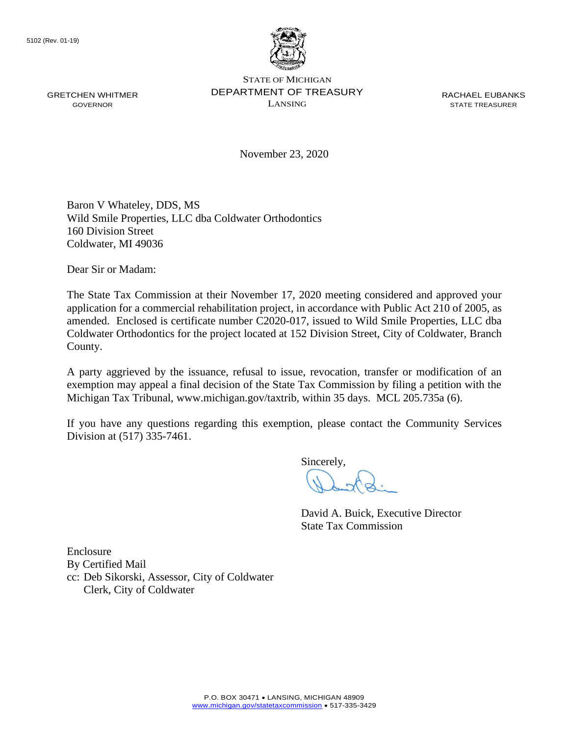

GRETCHEN WHITMER **DEPARTMENT OF TREASURY** RACHAEL EUBANKS STATE OF MICHIGAN  $\sum_{i=1}^{n}$  GOVERNOR

November 23, 2020

Baron V Whateley, DDS, MS Wild Smile Properties, LLC dba Coldwater Orthodontics 160 Division Street Coldwater, MI 49036

Dear Sir or Madam:

The State Tax Commission at their November 17, 2020 meeting considered and approved your application for a commercial rehabilitation project, in accordance with Public Act 210 of 2005, as amended. Enclosed is certificate number C2020-017, issued to Wild Smile Properties, LLC dba Coldwater Orthodontics for the project located at 152 Division Street, City of Coldwater, Branch County.

 exemption may appeal a final decision of the State Tax Commission by filing a petition with the A party aggrieved by the issuance, refusal to issue, revocation, transfer or modification of an Michigan Tax Tribunal, <www.michigan.gov/taxtrib>, within 35 days. MCL 205.735a (6).

 If you have any questions regarding this exemption, please contact the Community Services Division at (517) 335-7461.

Sincerely,

David A. Buick, Executive Director State Tax Commission

Enclosure By Certified Mail cc: Deb Sikorski, Assessor, City of Coldwater Clerk, City of Coldwater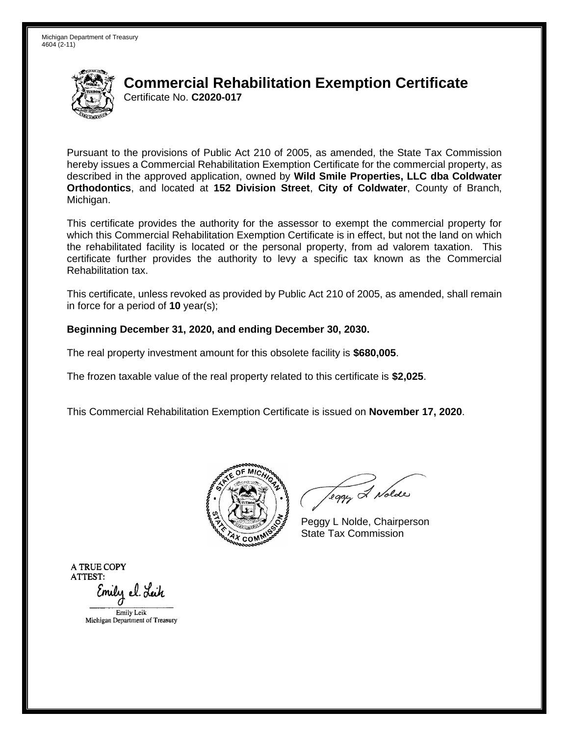

## Certificate No. **C2020-017 Commercial Rehabilitation Exemption Certificate**

 Pursuant to the provisions of Public Act 210 of 2005, as amended, the State Tax Commission hereby issues a Commercial Rehabilitation Exemption Certificate for the commercial property, as described in the approved application, owned by **Wild Smile Properties, LLC dba Coldwater Orthodontics**, and located at **152 Division Street**, **City of Coldwater**, County of Branch, Michigan.

Michigan.<br>This certificate provides the authority for the assessor to exempt the commercial property for which this Commercial Rehabilitation Exemption Certificate is in effect, but not the land on which the rehabilitated facility is located or the personal property, from ad valorem taxation. This certificate further provides the authority to levy a specific tax known as the Commercial Rehabilitation tax.

This certificate, unless revoked as provided by Public Act 210 of 2005, as amended, shall remain in force for a period of **10** year(s);

### **Beginning December 31, 2020, and ending December 30, 2030.**

The real property investment amount for this obsolete facility is **\$680,005**.

The frozen taxable value of the real property related to this certificate is **\$2,025**.

This Commercial Rehabilitation Exemption Certificate is issued on **November 17, 2020**.



Teggy & Nolde

Peggy L Nolde, Chairperson State Tax Commission

**ATRUECOPY ATTEST:**  Emily el. Lei*h* 

EmilyLcik Michigan Department of Treasucy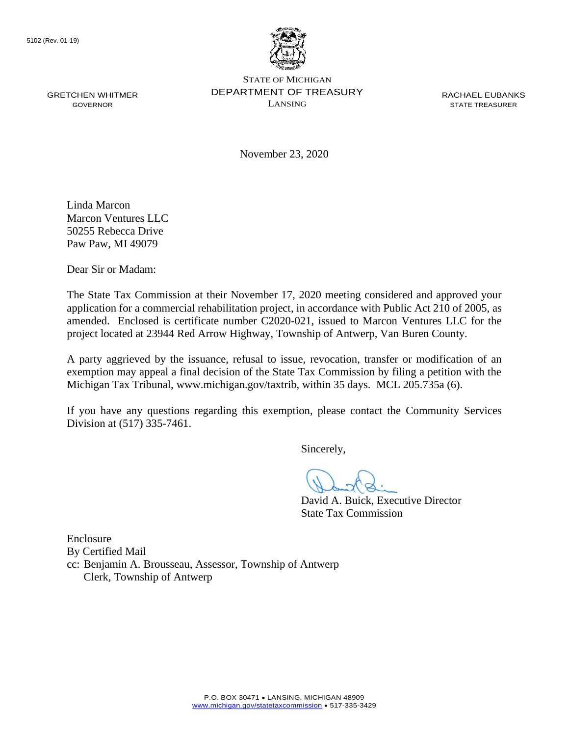

GRETCHEN WHITMER **DEPARTMENT OF TREASURY** RACHAEL EUBANKS STATE OF MICHIGAN  $\sum_{i=1}^{n}$  GOVERNOR

November 23, 2020

Linda Marcon Marcon Ventures LLC 50255 Rebecca Drive Paw Paw, MI 49079

Dear Sir or Madam:

 amended. Enclosed is certificate number C2020-021, issued to Marcon Ventures LLC for the The State Tax Commission at their November 17, 2020 meeting considered and approved your application for a commercial rehabilitation project, in accordance with Public Act 210 of 2005, as project located at 23944 Red Arrow Highway, Township of Antwerp, Van Buren County.

 exemption may appeal a final decision of the State Tax Commission by filing a petition with the A party aggrieved by the issuance, refusal to issue, revocation, transfer or modification of an Michigan Tax Tribunal, <www.michigan.gov/taxtrib>, within 35 days. MCL 205.735a (6).

 If you have any questions regarding this exemption, please contact the Community Services Division at (517) 335-7461.

Sincerely,

David A. Buick, Executive Director State Tax Commission

Enclosure By Certified Mail cc: Benjamin A. Brousseau, Assessor, Township of Antwerp Clerk, Township of Antwerp